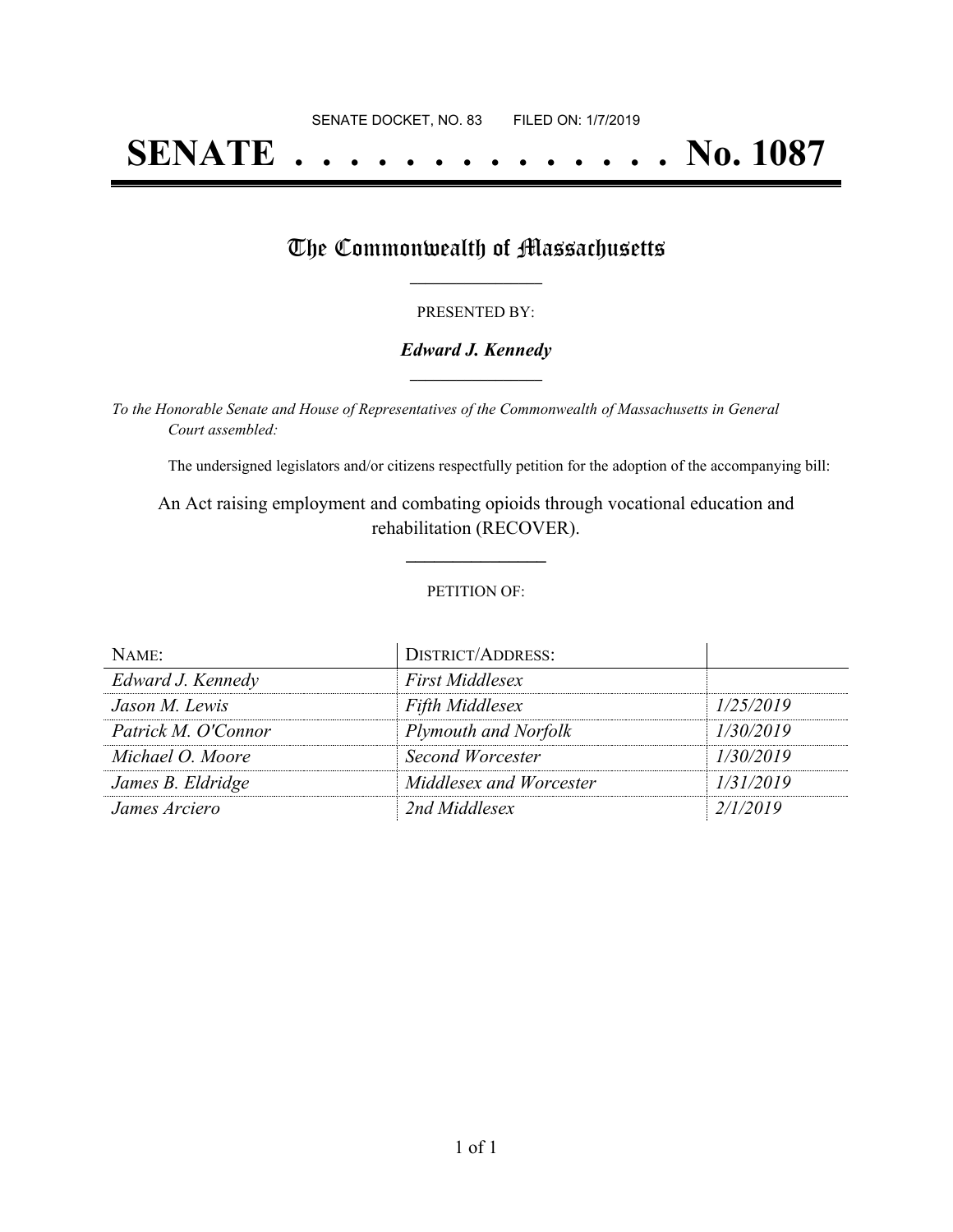# **SENATE . . . . . . . . . . . . . . No. 1087**

## The Commonwealth of Massachusetts

#### PRESENTED BY:

#### *Edward J. Kennedy* **\_\_\_\_\_\_\_\_\_\_\_\_\_\_\_\_\_**

*To the Honorable Senate and House of Representatives of the Commonwealth of Massachusetts in General Court assembled:*

The undersigned legislators and/or citizens respectfully petition for the adoption of the accompanying bill:

An Act raising employment and combating opioids through vocational education and rehabilitation (RECOVER).

**\_\_\_\_\_\_\_\_\_\_\_\_\_\_\_**

#### PETITION OF:

| NAME:               | <b>DISTRICT/ADDRESS:</b> |           |
|---------------------|--------------------------|-----------|
| Edward J. Kennedy   | <b>First Middlesex</b>   |           |
| Jason M. Lewis      | <b>Fifth Middlesex</b>   | 1/25/2019 |
| Patrick M. O'Connor | Plymouth and Norfolk     | 1/30/2019 |
| Michael O. Moore    | Second Worcester         | 1/30/2019 |
| James B. Eldridge   | Middlesex and Worcester  | 1/31/2019 |
| James Arciero       | 2nd Middlesex            | 2/1/2019  |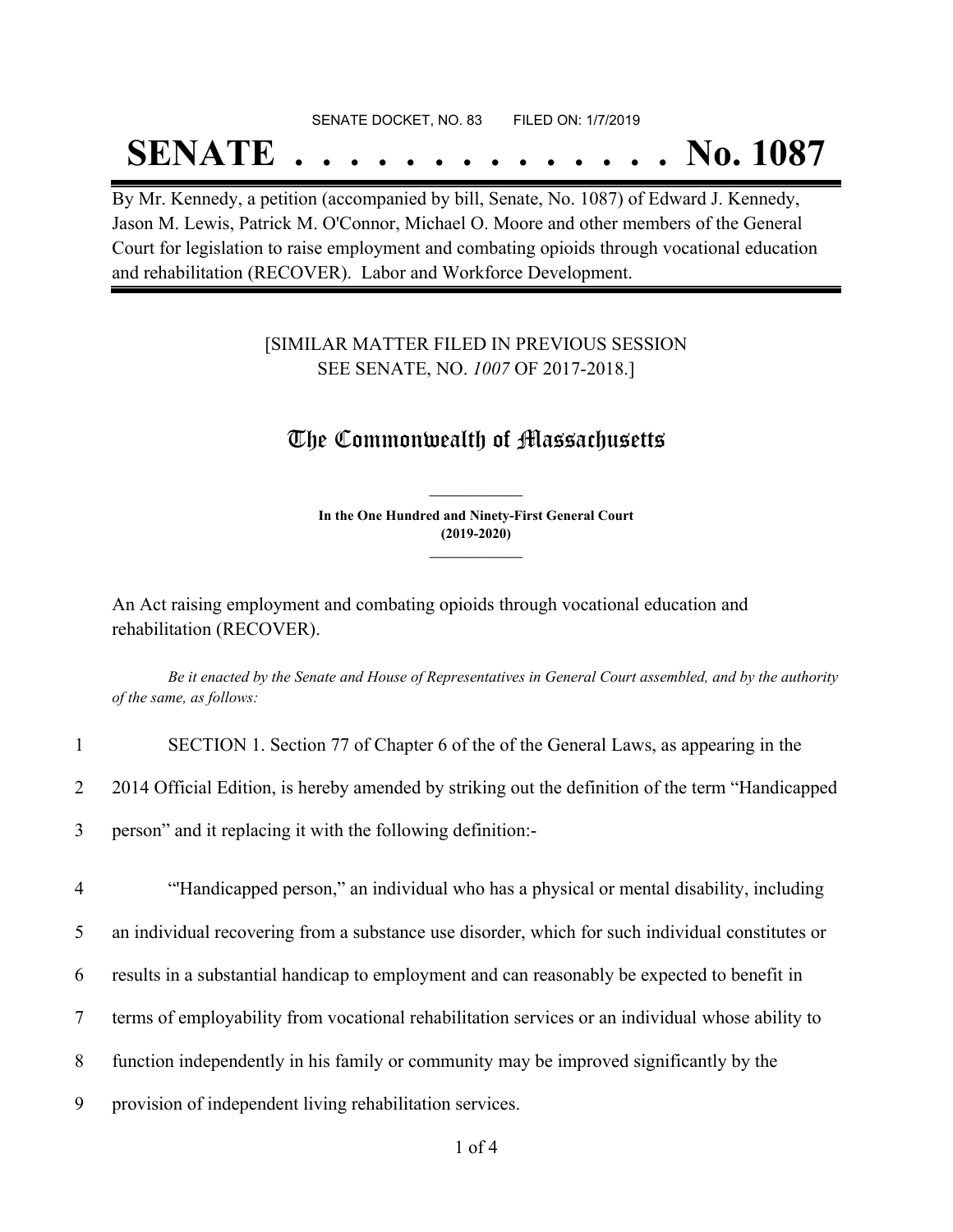#### SENATE DOCKET, NO. 83 FILED ON: 1/7/2019

## **SENATE . . . . . . . . . . . . . . No. 1087**

By Mr. Kennedy, a petition (accompanied by bill, Senate, No. 1087) of Edward J. Kennedy, Jason M. Lewis, Patrick M. O'Connor, Michael O. Moore and other members of the General Court for legislation to raise employment and combating opioids through vocational education and rehabilitation (RECOVER). Labor and Workforce Development.

#### [SIMILAR MATTER FILED IN PREVIOUS SESSION SEE SENATE, NO. *1007* OF 2017-2018.]

### The Commonwealth of Massachusetts

**In the One Hundred and Ninety-First General Court (2019-2020) \_\_\_\_\_\_\_\_\_\_\_\_\_\_\_**

**\_\_\_\_\_\_\_\_\_\_\_\_\_\_\_**

An Act raising employment and combating opioids through vocational education and rehabilitation (RECOVER).

Be it enacted by the Senate and House of Representatives in General Court assembled, and by the authority *of the same, as follows:*

| SECTION 1. Section 77 of Chapter 6 of the of the General Laws, as appearing in the                |
|---------------------------------------------------------------------------------------------------|
| 2014 Official Edition, is hereby amended by striking out the definition of the term "Handicapped" |

3 person" and it replacing it with the following definition:-

 "'Handicapped person," an individual who has a physical or mental disability, including an individual recovering from a substance use disorder, which for such individual constitutes or results in a substantial handicap to employment and can reasonably be expected to benefit in terms of employability from vocational rehabilitation services or an individual whose ability to function independently in his family or community may be improved significantly by the

9 provision of independent living rehabilitation services.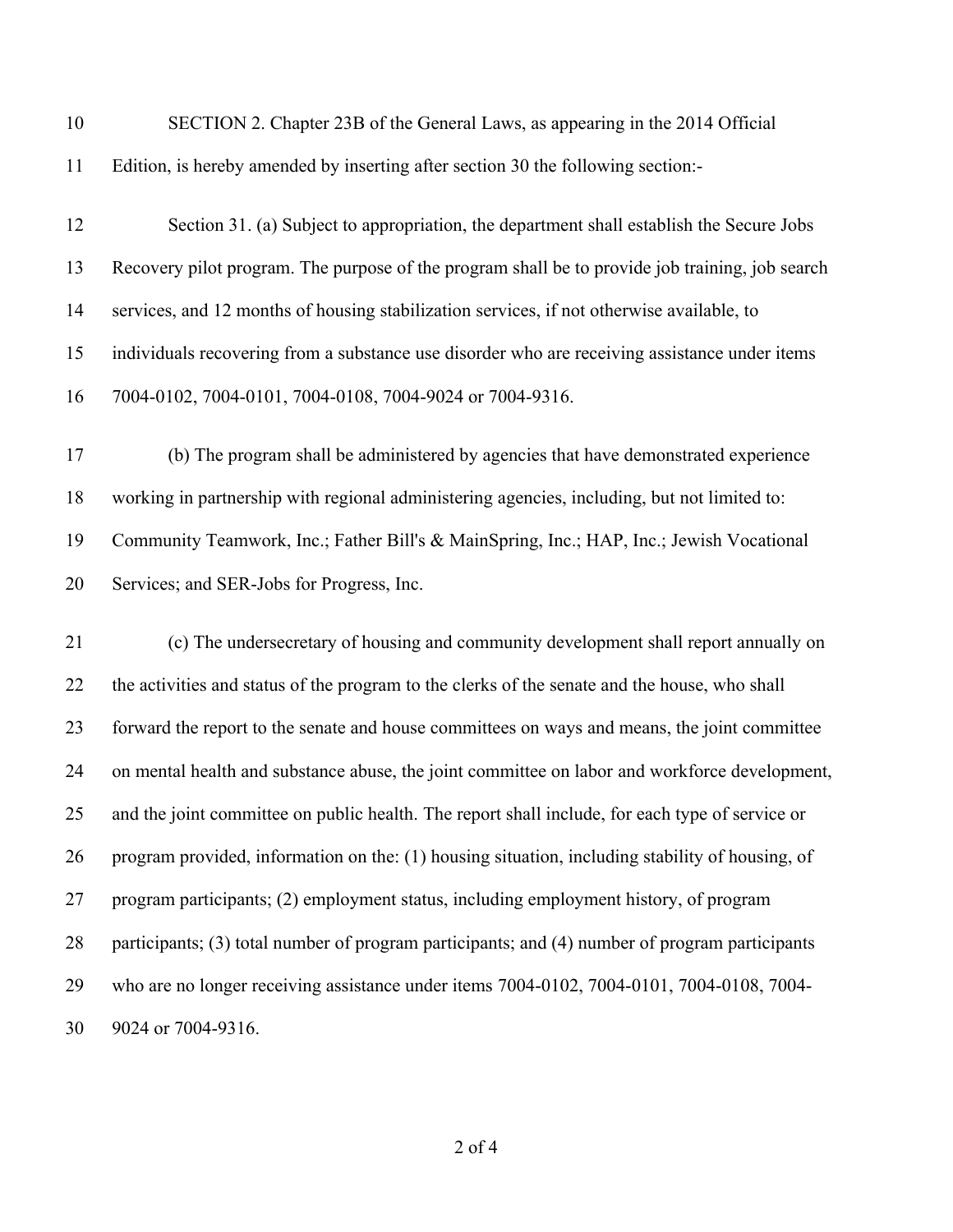| 10 | SECTION 2. Chapter 23B of the General Laws, as appearing in the 2014 Official                   |
|----|-------------------------------------------------------------------------------------------------|
| 11 | Edition, is hereby amended by inserting after section 30 the following section:-                |
| 12 | Section 31. (a) Subject to appropriation, the department shall establish the Secure Jobs        |
| 13 | Recovery pilot program. The purpose of the program shall be to provide job training, job search |
| 14 | services, and 12 months of housing stabilization services, if not otherwise available, to       |
| 15 | individuals recovering from a substance use disorder who are receiving assistance under items   |
| 16 | 7004-0102, 7004-0101, 7004-0108, 7004-9024 or 7004-9316.                                        |
| 17 | (b) The program shall be administered by agencies that have demonstrated experience             |
| 18 | working in partnership with regional administering agencies, including, but not limited to:     |
| 19 | Community Teamwork, Inc.; Father Bill's & MainSpring, Inc.; HAP, Inc.; Jewish Vocational        |
| 20 | Services; and SER-Jobs for Progress, Inc.                                                       |
| 21 | (c) The undersecretary of housing and community development shall report annually on            |
| 22 | the activities and status of the program to the clerks of the senate and the house, who shall   |
| 23 | forward the report to the senate and house committees on ways and means, the joint committee    |
| 24 | on mental health and substance abuse, the joint committee on labor and workforce development,   |
| 25 | and the joint committee on public health. The report shall include, for each type of service or |
| 26 | program provided, information on the: (1) housing situation, including stability of housing, of |
| 27 | program participants; (2) employment status, including employment history, of program           |
| 28 | participants; (3) total number of program participants; and (4) number of program participants  |
| 29 | who are no longer receiving assistance under items 7004-0102, 7004-0101, 7004-0108, 7004-       |
| 30 | 9024 or 7004-9316.                                                                              |
|    |                                                                                                 |

of 4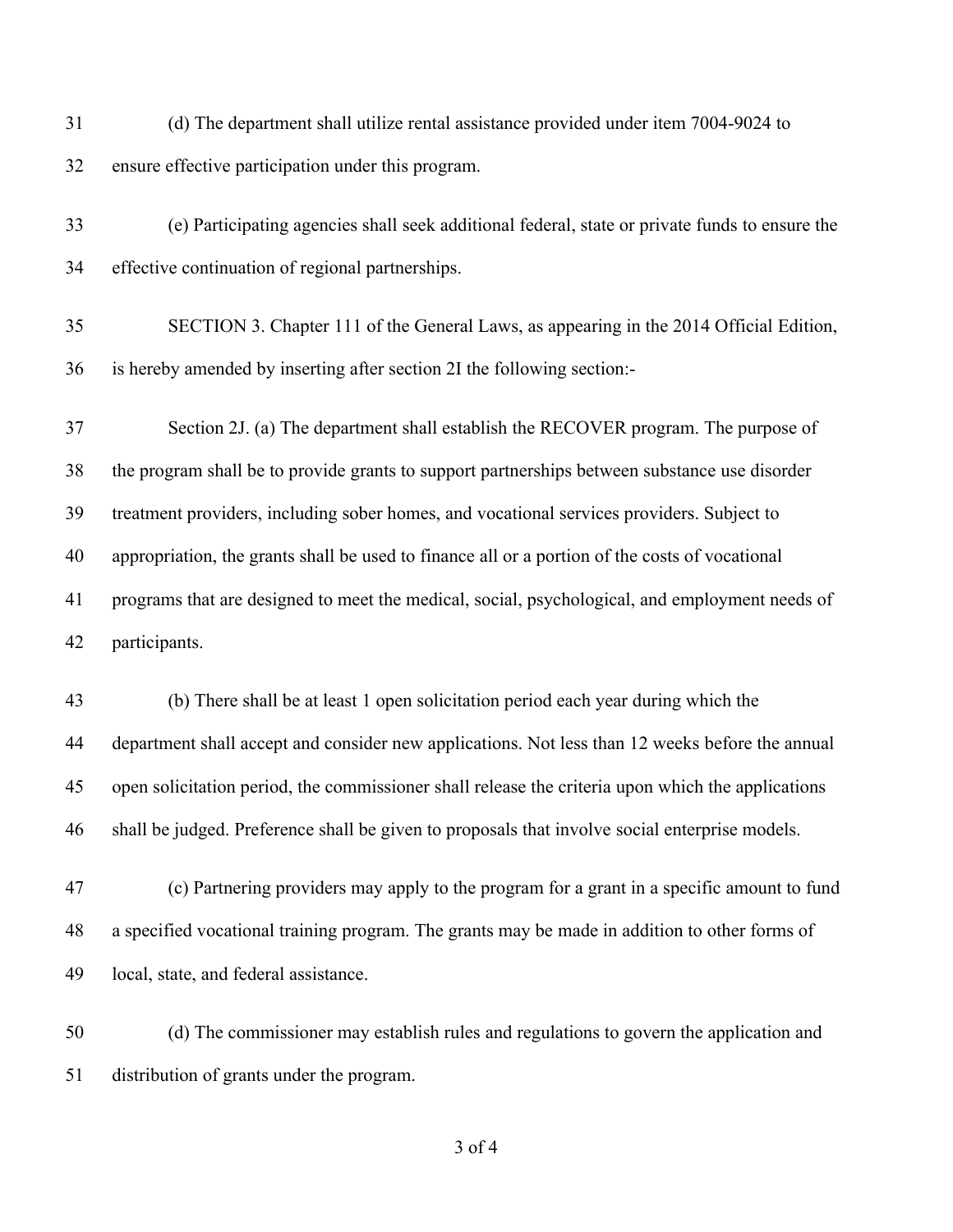(d) The department shall utilize rental assistance provided under item 7004-9024 to ensure effective participation under this program.

 (e) Participating agencies shall seek additional federal, state or private funds to ensure the effective continuation of regional partnerships.

 SECTION 3. Chapter 111 of the General Laws, as appearing in the 2014 Official Edition, is hereby amended by inserting after section 2I the following section:-

 Section 2J. (a) The department shall establish the RECOVER program. The purpose of the program shall be to provide grants to support partnerships between substance use disorder treatment providers, including sober homes, and vocational services providers. Subject to appropriation, the grants shall be used to finance all or a portion of the costs of vocational programs that are designed to meet the medical, social, psychological, and employment needs of participants.

 (b) There shall be at least 1 open solicitation period each year during which the department shall accept and consider new applications. Not less than 12 weeks before the annual open solicitation period, the commissioner shall release the criteria upon which the applications shall be judged. Preference shall be given to proposals that involve social enterprise models.

 (c) Partnering providers may apply to the program for a grant in a specific amount to fund a specified vocational training program. The grants may be made in addition to other forms of local, state, and federal assistance.

 (d) The commissioner may establish rules and regulations to govern the application and distribution of grants under the program.

of 4